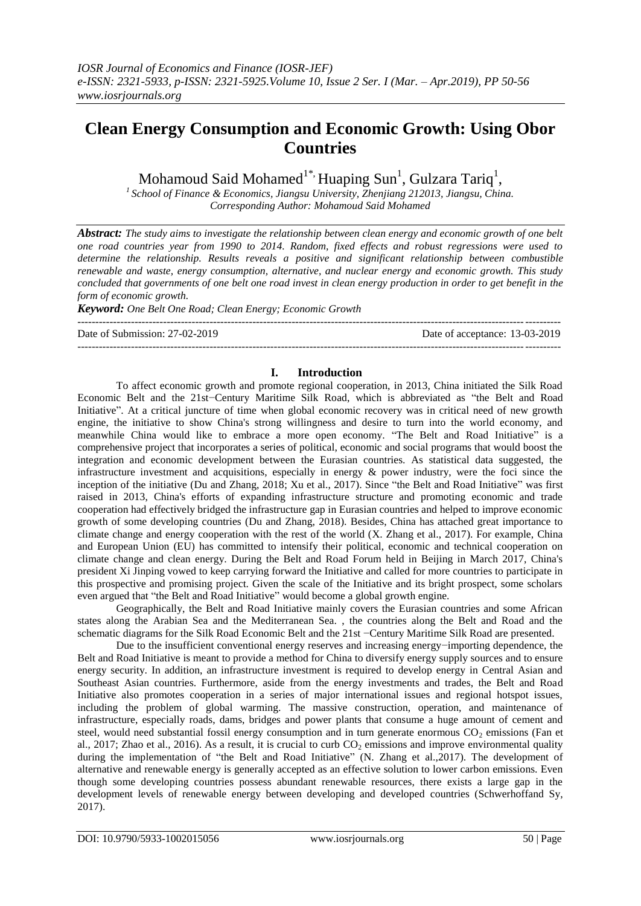# **Clean Energy Consumption and Economic Growth: Using Obor Countries**

Mohamoud Said Mohamed $^{1^{\ast}\!\!},$  Huaping Sun $^{\rm l}$ , Gulzara Tariq $^{\rm l},$ 

*<sup>1</sup>School of Finance & Economics, Jiangsu University, Zhenjiang 212013, Jiangsu, China. Corresponding Author: Mohamoud Said Mohamed*

*Abstract: The study aims to investigate the relationship between clean energy and economic growth of one belt one road countries year from 1990 to 2014. Random, fixed effects and robust regressions were used to determine the relationship. Results reveals a positive and significant relationship between combustible renewable and waste, energy consumption, alternative, and nuclear energy and economic growth. This study concluded that governments of one belt one road invest in clean energy production in order to get benefit in the form of economic growth.* 

*Keyword: One Belt One Road; Clean Energy; Economic Growth*

---------------------------------------------------------------------------------------------------------------------------------------

Date of Submission: 27-02-2019 Date of acceptance: 13-03-2019

# ---------------------------------------------------------------------------------------------------------------------------------------

## **I. Introduction**

To affect economic growth and promote regional cooperation, in 2013, China initiated the Silk Road Economic Belt and the 21st−Century Maritime Silk Road, which is abbreviated as "the Belt and Road Initiative". At a critical juncture of time when global economic recovery was in critical need of new growth engine, the initiative to show China's strong willingness and desire to turn into the world economy, and meanwhile China would like to embrace a more open economy. "The Belt and Road Initiative" is a comprehensive project that incorporates a series of political, economic and social programs that would boost the integration and economic development between the Eurasian countries. As statistical data suggested, the infrastructure investment and acquisitions, especially in energy & power industry, were the foci since the inception of the initiative (Du and Zhang, 2018; Xu et al., 2017). Since "the Belt and Road Initiative" was first raised in 2013, China's efforts of expanding infrastructure structure and promoting economic and trade cooperation had effectively bridged the infrastructure gap in Eurasian countries and helped to improve economic growth of some developing countries (Du and Zhang, 2018). Besides, China has attached great importance to climate change and energy cooperation with the rest of the world (X. Zhang et al., 2017). For example, China and European Union (EU) has committed to intensify their political, economic and technical cooperation on climate change and clean energy. During the Belt and Road Forum held in Beijing in March 2017, China's president Xi Jinping vowed to keep carrying forward the Initiative and called for more countries to participate in this prospective and promising project. Given the scale of the Initiative and its bright prospect, some scholars even argued that "the Belt and Road Initiative" would become a global growth engine.

Geographically, the Belt and Road Initiative mainly covers the Eurasian countries and some African states along the Arabian Sea and the Mediterranean Sea. , the countries along the Belt and Road and the schematic diagrams for the Silk Road Economic Belt and the 21st −Century Maritime Silk Road are presented.

Due to the insufficient conventional energy reserves and increasing energy−importing dependence, the Belt and Road Initiative is meant to provide a method for China to diversify energy supply sources and to ensure energy security. In addition, an infrastructure investment is required to develop energy in Central Asian and Southeast Asian countries. Furthermore, aside from the energy investments and trades, the Belt and Road Initiative also promotes cooperation in a series of major international issues and regional hotspot issues, including the problem of global warming. The massive construction, operation, and maintenance of infrastructure, especially roads, dams, bridges and power plants that consume a huge amount of cement and steel, would need substantial fossil energy consumption and in turn generate enormous  $CO<sub>2</sub>$  emissions (Fan et al., 2017; Zhao et al., 2016). As a result, it is crucial to curb  $CO<sub>2</sub>$  emissions and improve environmental quality during the implementation of "the Belt and Road Initiative" (N. Zhang et al.,2017). The development of alternative and renewable energy is generally accepted as an effective solution to lower carbon emissions. Even though some developing countries possess abundant renewable resources, there exists a large gap in the development levels of renewable energy between developing and developed countries (Schwerhoffand Sy, 2017).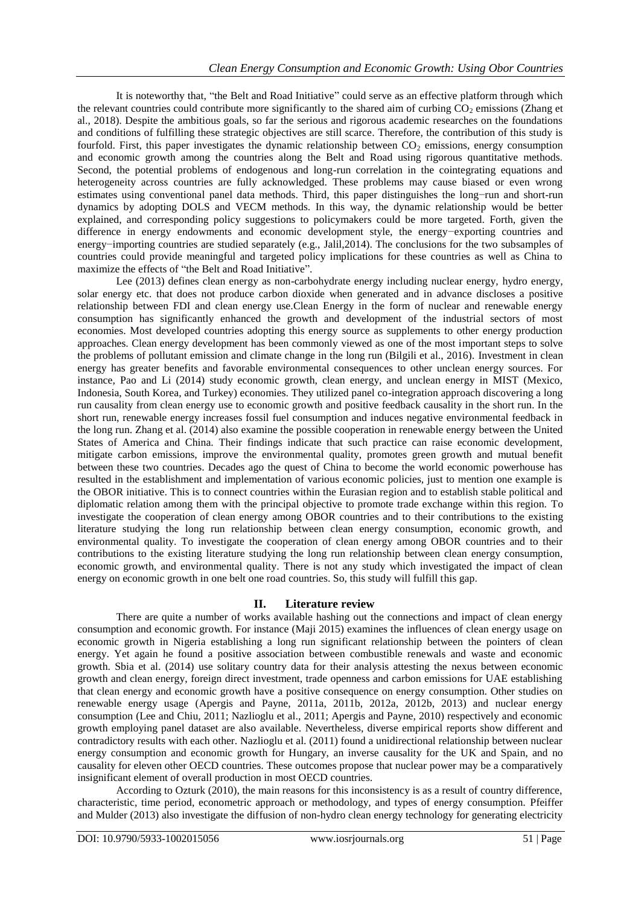It is noteworthy that, "the Belt and Road Initiative" could serve as an effective platform through which the relevant countries could contribute more significantly to the shared aim of curbing  $CO<sub>2</sub>$  emissions (Zhang et al., 2018). Despite the ambitious goals, so far the serious and rigorous academic researches on the foundations and conditions of fulfilling these strategic objectives are still scarce. Therefore, the contribution of this study is fourfold. First, this paper investigates the dynamic relationship between  $CO<sub>2</sub>$  emissions, energy consumption and economic growth among the countries along the Belt and Road using rigorous quantitative methods. Second, the potential problems of endogenous and long-run correlation in the cointegrating equations and heterogeneity across countries are fully acknowledged. These problems may cause biased or even wrong estimates using conventional panel data methods. Third, this paper distinguishes the long−run and short-run dynamics by adopting DOLS and VECM methods. In this way, the dynamic relationship would be better explained, and corresponding policy suggestions to policymakers could be more targeted. Forth, given the difference in energy endowments and economic development style, the energy−exporting countries and energy−importing countries are studied separately (e.g., Jalil,2014). The conclusions for the two subsamples of countries could provide meaningful and targeted policy implications for these countries as well as China to maximize the effects of "the Belt and Road Initiative".

Lee (2013) defines clean energy as non-carbohydrate energy including nuclear energy, hydro energy, solar energy etc. that does not produce carbon dioxide when generated and in advance discloses a positive relationship between FDI and clean energy use.Clean Energy in the form of nuclear and renewable energy consumption has significantly enhanced the growth and development of the industrial sectors of most economies. Most developed countries adopting this energy source as supplements to other energy production approaches. Clean energy development has been commonly viewed as one of the most important steps to solve the problems of pollutant emission and climate change in the long run (Bilgili et al., 2016). Investment in clean energy has greater benefits and favorable environmental consequences to other unclean energy sources. For instance, Pao and Li (2014) study economic growth, clean energy, and unclean energy in MIST (Mexico, Indonesia, South Korea, and Turkey) economies. They utilized panel co-integration approach discovering a long run causality from clean energy use to economic growth and positive feedback causality in the short run. In the short run, renewable energy increases fossil fuel consumption and induces negative environmental feedback in the long run. Zhang et al. (2014) also examine the possible cooperation in renewable energy between the United States of America and China. Their findings indicate that such practice can raise economic development, mitigate carbon emissions, improve the environmental quality, promotes green growth and mutual benefit between these two countries. Decades ago the quest of China to become the world economic powerhouse has resulted in the establishment and implementation of various economic policies, just to mention one example is the OBOR initiative. This is to connect countries within the Eurasian region and to establish stable political and diplomatic relation among them with the principal objective to promote trade exchange within this region. To investigate the cooperation of clean energy among OBOR countries and to their contributions to the existing literature studying the long run relationship between clean energy consumption, economic growth, and environmental quality. To investigate the cooperation of clean energy among OBOR countries and to their contributions to the existing literature studying the long run relationship between clean energy consumption, economic growth, and environmental quality. There is not any study which investigated the impact of clean energy on economic growth in one belt one road countries. So, this study will fulfill this gap.

### **II. Literature review**

There are quite a number of works available hashing out the connections and impact of clean energy consumption and economic growth. For instance (Maji 2015) examines the influences of clean energy usage on economic growth in Nigeria establishing a long run significant relationship between the pointers of clean energy. Yet again he found a positive association between combustible renewals and waste and economic growth. Sbia et al. (2014) use solitary country data for their analysis attesting the nexus between economic growth and clean energy, foreign direct investment, trade openness and carbon emissions for UAE establishing that clean energy and economic growth have a positive consequence on energy consumption. Other studies on renewable energy usage (Apergis and Payne, 2011a, 2011b, 2012a, 2012b, 2013) and nuclear energy consumption (Lee and Chiu, 2011; Nazlioglu et al., 2011; Apergis and Payne, 2010) respectively and economic growth employing panel dataset are also available. Nevertheless, diverse empirical reports show different and contradictory results with each other. Nazlioglu et al. (2011) found a unidirectional relationship between nuclear energy consumption and economic growth for Hungary, an inverse causality for the UK and Spain, and no causality for eleven other OECD countries. These outcomes propose that nuclear power may be a comparatively insignificant element of overall production in most OECD countries.

According to Ozturk (2010), the main reasons for this inconsistency is as a result of country difference, characteristic, time period, econometric approach or methodology, and types of energy consumption. Pfeiffer and Mulder (2013) also investigate the diffusion of non-hydro clean energy technology for generating electricity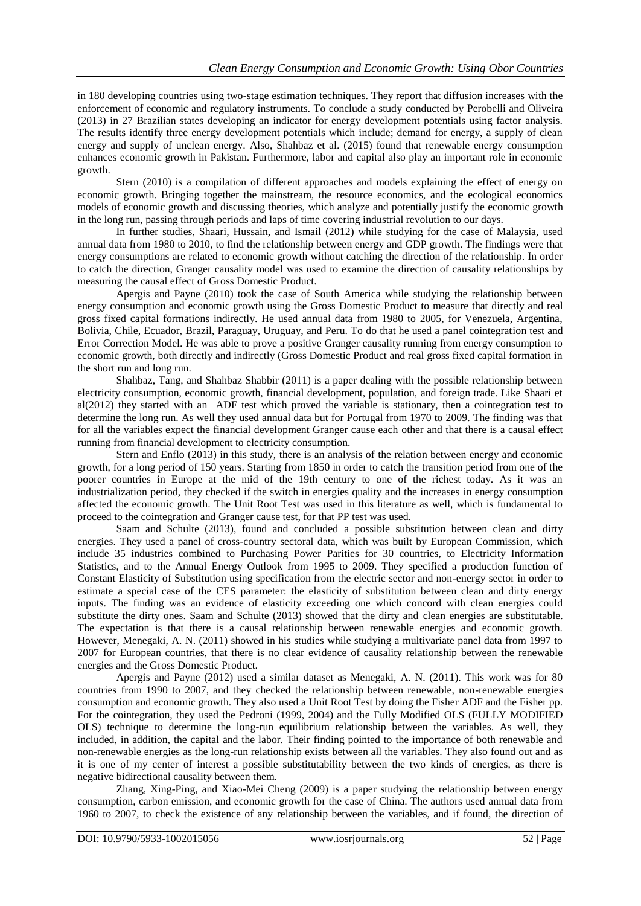in 180 developing countries using two-stage estimation techniques. They report that diffusion increases with the enforcement of economic and regulatory instruments. To conclude a study conducted by Perobelli and Oliveira (2013) in 27 Brazilian states developing an indicator for energy development potentials using factor analysis. The results identify three energy development potentials which include; demand for energy, a supply of clean energy and supply of unclean energy. Also, Shahbaz et al. (2015) found that renewable energy consumption enhances economic growth in Pakistan. Furthermore, labor and capital also play an important role in economic growth.

Stern (2010) is a compilation of different approaches and models explaining the effect of energy on economic growth. Bringing together the mainstream, the resource economics, and the ecological economics models of economic growth and discussing theories, which analyze and potentially justify the economic growth in the long run, passing through periods and laps of time covering industrial revolution to our days.

In further studies, Shaari, Hussain, and Ismail (2012) while studying for the case of Malaysia, used annual data from 1980 to 2010, to find the relationship between energy and GDP growth. The findings were that energy consumptions are related to economic growth without catching the direction of the relationship. In order to catch the direction, Granger causality model was used to examine the direction of causality relationships by measuring the causal effect of Gross Domestic Product.

Apergis and Payne (2010) took the case of South America while studying the relationship between energy consumption and economic growth using the Gross Domestic Product to measure that directly and real gross fixed capital formations indirectly. He used annual data from 1980 to 2005, for Venezuela, Argentina, Bolivia, Chile, Ecuador, Brazil, Paraguay, Uruguay, and Peru. To do that he used a panel cointegration test and Error Correction Model. He was able to prove a positive Granger causality running from energy consumption to economic growth, both directly and indirectly (Gross Domestic Product and real gross fixed capital formation in the short run and long run.

Shahbaz, Tang, and Shahbaz Shabbir (2011) is a paper dealing with the possible relationship between electricity consumption, economic growth, financial development, population, and foreign trade. Like Shaari et al(2012) they started with an ADF test which proved the variable is stationary, then a cointegration test to determine the long run. As well they used annual data but for Portugal from 1970 to 2009. The finding was that for all the variables expect the financial development Granger cause each other and that there is a causal effect running from financial development to electricity consumption.

Stern and Enflo (2013) in this study, there is an analysis of the relation between energy and economic growth, for a long period of 150 years. Starting from 1850 in order to catch the transition period from one of the poorer countries in Europe at the mid of the 19th century to one of the richest today. As it was an industrialization period, they checked if the switch in energies quality and the increases in energy consumption affected the economic growth. The Unit Root Test was used in this literature as well, which is fundamental to proceed to the cointegration and Granger cause test, for that PP test was used.

Saam and Schulte (2013), found and concluded a possible substitution between clean and dirty energies. They used a panel of cross-country sectoral data, which was built by European Commission, which include 35 industries combined to Purchasing Power Parities for 30 countries, to Electricity Information Statistics, and to the Annual Energy Outlook from 1995 to 2009. They specified a production function of Constant Elasticity of Substitution using specification from the electric sector and non-energy sector in order to estimate a special case of the CES parameter: the elasticity of substitution between clean and dirty energy inputs. The finding was an evidence of elasticity exceeding one which concord with clean energies could substitute the dirty ones. Saam and Schulte (2013) showed that the dirty and clean energies are substitutable. The expectation is that there is a causal relationship between renewable energies and economic growth. However, Menegaki, A. N. (2011) showed in his studies while studying a multivariate panel data from 1997 to 2007 for European countries, that there is no clear evidence of causality relationship between the renewable energies and the Gross Domestic Product.

Apergis and Payne (2012) used a similar dataset as Menegaki, A. N. (2011). This work was for 80 countries from 1990 to 2007, and they checked the relationship between renewable, non-renewable energies consumption and economic growth. They also used a Unit Root Test by doing the Fisher ADF and the Fisher pp. For the cointegration, they used the Pedroni (1999, 2004) and the Fully Modified OLS (FULLY MODIFIED OLS) technique to determine the long-run equilibrium relationship between the variables. As well, they included, in addition, the capital and the labor. Their finding pointed to the importance of both renewable and non-renewable energies as the long-run relationship exists between all the variables. They also found out and as it is one of my center of interest a possible substitutability between the two kinds of energies, as there is negative bidirectional causality between them.

Zhang, Xing-Ping, and Xiao-Mei Cheng (2009) is a paper studying the relationship between energy consumption, carbon emission, and economic growth for the case of China. The authors used annual data from 1960 to 2007, to check the existence of any relationship between the variables, and if found, the direction of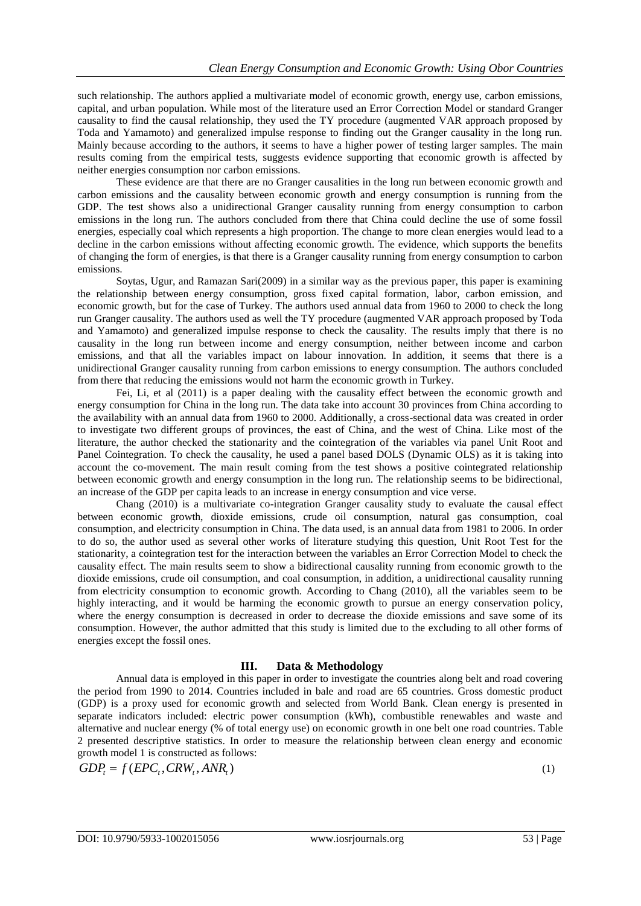such relationship. The authors applied a multivariate model of economic growth, energy use, carbon emissions, capital, and urban population. While most of the literature used an Error Correction Model or standard Granger causality to find the causal relationship, they used the TY procedure (augmented VAR approach proposed by Toda and Yamamoto) and generalized impulse response to finding out the Granger causality in the long run. Mainly because according to the authors, it seems to have a higher power of testing larger samples. The main results coming from the empirical tests, suggests evidence supporting that economic growth is affected by neither energies consumption nor carbon emissions.

These evidence are that there are no Granger causalities in the long run between economic growth and carbon emissions and the causality between economic growth and energy consumption is running from the GDP. The test shows also a unidirectional Granger causality running from energy consumption to carbon emissions in the long run. The authors concluded from there that China could decline the use of some fossil energies, especially coal which represents a high proportion. The change to more clean energies would lead to a decline in the carbon emissions without affecting economic growth. The evidence, which supports the benefits of changing the form of energies, is that there is a Granger causality running from energy consumption to carbon emissions.

Soytas, Ugur, and Ramazan Sari(2009) in a similar way as the previous paper, this paper is examining the relationship between energy consumption, gross fixed capital formation, labor, carbon emission, and economic growth, but for the case of Turkey. The authors used annual data from 1960 to 2000 to check the long run Granger causality. The authors used as well the TY procedure (augmented VAR approach proposed by Toda and Yamamoto) and generalized impulse response to check the causality. The results imply that there is no causality in the long run between income and energy consumption, neither between income and carbon emissions, and that all the variables impact on labour innovation. In addition, it seems that there is a unidirectional Granger causality running from carbon emissions to energy consumption. The authors concluded from there that reducing the emissions would not harm the economic growth in Turkey.

Fei, Li, et al (2011) is a paper dealing with the causality effect between the economic growth and energy consumption for China in the long run. The data take into account 30 provinces from China according to the availability with an annual data from 1960 to 2000. Additionally, a cross-sectional data was created in order to investigate two different groups of provinces, the east of China, and the west of China. Like most of the literature, the author checked the stationarity and the cointegration of the variables via panel Unit Root and Panel Cointegration. To check the causality, he used a panel based DOLS (Dynamic OLS) as it is taking into account the co-movement. The main result coming from the test shows a positive cointegrated relationship between economic growth and energy consumption in the long run. The relationship seems to be bidirectional, an increase of the GDP per capita leads to an increase in energy consumption and vice verse.

Chang (2010) is a multivariate co-integration Granger causality study to evaluate the causal effect between economic growth, dioxide emissions, crude oil consumption, natural gas consumption, coal consumption, and electricity consumption in China. The data used, is an annual data from 1981 to 2006. In order to do so, the author used as several other works of literature studying this question, Unit Root Test for the stationarity, a cointegration test for the interaction between the variables an Error Correction Model to check the causality effect. The main results seem to show a bidirectional causality running from economic growth to the dioxide emissions, crude oil consumption, and coal consumption, in addition, a unidirectional causality running from electricity consumption to economic growth. According to Chang (2010), all the variables seem to be highly interacting, and it would be harming the economic growth to pursue an energy conservation policy, where the energy consumption is decreased in order to decrease the dioxide emissions and save some of its consumption. However, the author admitted that this study is limited due to the excluding to all other forms of energies except the fossil ones.

### **III. Data & Methodology**

Annual data is employed in this paper in order to investigate the countries along belt and road covering the period from 1990 to 2014. Countries included in bale and road are 65 countries. Gross domestic product (GDP) is a proxy used for economic growth and selected from World Bank. Clean energy is presented in separate indicators included: electric power consumption (kWh), combustible renewables and waste and alternative and nuclear energy (% of total energy use) on economic growth in one belt one road countries. Table 2 presented descriptive statistics. In order to measure the relationship between clean energy and economic growth model 1 is constructed as follows:

growth model 1 is constructed as fol<br>  $GDP_t = f(EPC_t, CRW_t, ANR_t)$ 

(1)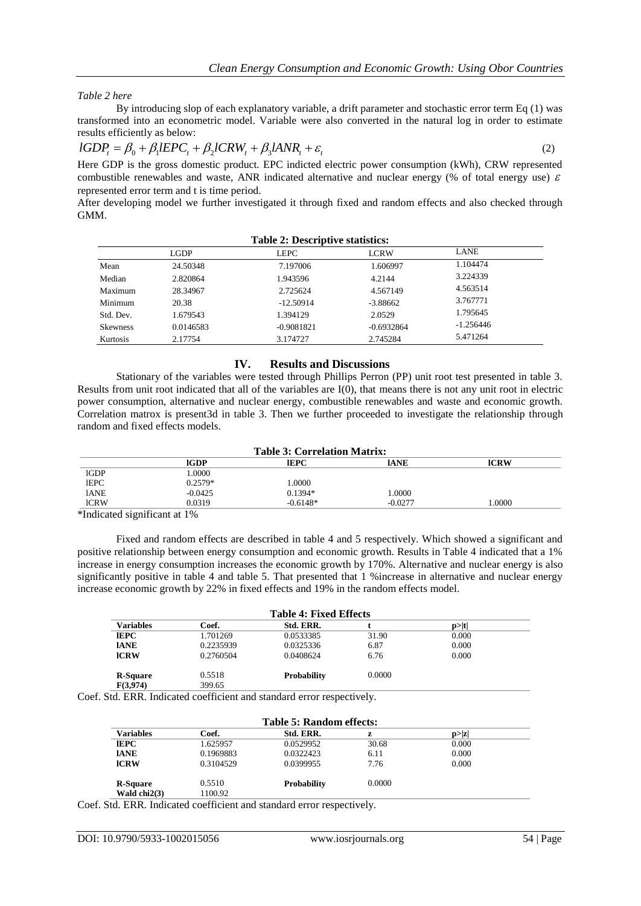*Table 2 here*

By introducing slop of each explanatory variable, a drift parameter and stochastic error term Eq (1) was transformed into an econometric model. Variable were also converted in the natural log in order to estimate results efficiently as below:<br>  $lGDP_t = \beta_0 + \beta_1 lEPC_t + \beta_2 lCRW_t + \beta_3 lANR_t + \varepsilon_t$  (2) results efficiently as below:

$$
lGDP_t = \beta_0 + \beta_1 lEPC_t + \beta_2 lCRW_t + \beta_3 lANR_t + \varepsilon_t
$$
\n<sup>(2)</sup>

Here GDP is the gross domestic product. EPC indicted electric power consumption (kWh), CRW represented combustible renewables and waste, ANR indicated alternative and nuclear energy (% of total energy use)  $\varepsilon$ represented error term and t is time period.

After developing model we further investigated it through fixed and random effects and also checked through GMM.

|                 | LGDP      | <b>LEPC</b>  | <b>LCRW</b>  | <b>LANE</b> |  |
|-----------------|-----------|--------------|--------------|-------------|--|
| Mean            | 24.50348  | 7.197006     | 1.606997     | 1.104474    |  |
| Median          | 2.820864  | 1.943596     | 4.2144       | 3.224339    |  |
| Maximum         | 28.34967  | 2.725624     | 4.567149     | 4.563514    |  |
| Minimum         | 20.38     | $-12.50914$  | $-3.88662$   | 3.767771    |  |
| Std. Dev.       | 1.679543  | 1.394129     | 2.0529       | 1.795645    |  |
| <b>Skewness</b> | 0.0146583 | $-0.9081821$ | $-0.6932864$ | $-1.256446$ |  |
| Kurtosis        | 2.17754   | 3.174727     | 2.745284     | 5.471264    |  |
|                 |           |              |              |             |  |

#### **IV. Results and Discussions**

Stationary of the variables were tested through Phillips Perron (PP) unit root test presented in table 3. Results from unit root indicated that all of the variables are I(0), that means there is not any unit root in electric power consumption, alternative and nuclear energy, combustible renewables and waste and economic growth. Correlation matrox is present3d in table 3. Then we further proceeded to investigate the relationship through random and fixed effects models.

| <b>Table 3: Correlation Matrix:</b> |             |             |             |             |
|-------------------------------------|-------------|-------------|-------------|-------------|
|                                     | <b>IGDP</b> | <b>IEPC</b> | <b>IANE</b> | <b>ICRW</b> |
| 1GDP                                | .0000       |             |             |             |
| <b>IEPC</b>                         | $0.2579*$   | .0000       |             |             |
| <b>IANE</b>                         | $-0.0425$   | $0.1394*$   | .0000       |             |
| <b>ICRW</b>                         | 0.0319      | $-0.6148*$  | $-0.0277$   | .0000       |

\*Indicated significant at 1%

Fixed and random effects are described in table 4 and 5 respectively. Which showed a significant and positive relationship between energy consumption and economic growth. Results in Table 4 indicated that a 1% increase in energy consumption increases the economic growth by 170%. Alternative and nuclear energy is also significantly positive in table 4 and table 5. That presented that 1 %increase in alternative and nuclear energy increase economic growth by 22% in fixed effects and 19% in the random effects model.

| <b>Table 4: Fixed Effects</b> |           |                    |        |       |  |
|-------------------------------|-----------|--------------------|--------|-------|--|
| Variables                     | Coef.     | Std. ERR.          |        | p> t  |  |
| IEPC                          | 1.701269  | 0.0533385          | 31.90  | 0.000 |  |
| <b>IANE</b>                   | 0.2235939 | 0.0325336          | 6.87   | 0.000 |  |
| <b>ICRW</b>                   | 0.2760504 | 0.0408624          | 6.76   | 0.000 |  |
| <b>R-Square</b>               | 0.5518    | <b>Probability</b> | 0.0000 |       |  |
| F(3,974)                      | 399.65    |                    |        |       |  |

Coef. Std. ERR. Indicated coefficient and standard error respectively.

| Table 5: Random effects: |           |                    |        |        |  |
|--------------------------|-----------|--------------------|--------|--------|--|
| <b>Variables</b>         | Coef.     | Std. ERR.          |        | p >  z |  |
| <b>IEPC</b>              | 1.625957  | 0.0529952          | 30.68  | 0.000  |  |
| <b>IANE</b>              | 0.1969883 | 0.0322423          | 6.11   | 0.000  |  |
| <b>ICRW</b>              | 0.3104529 | 0.0399955          | 7.76   | 0.000  |  |
| <b>R-Square</b>          | 0.5510    | <b>Probability</b> | 0.0000 |        |  |
| Wald $chi2(3)$           | 1100.92   |                    |        |        |  |

Coef. Std. ERR. Indicated coefficient and standard error respectively.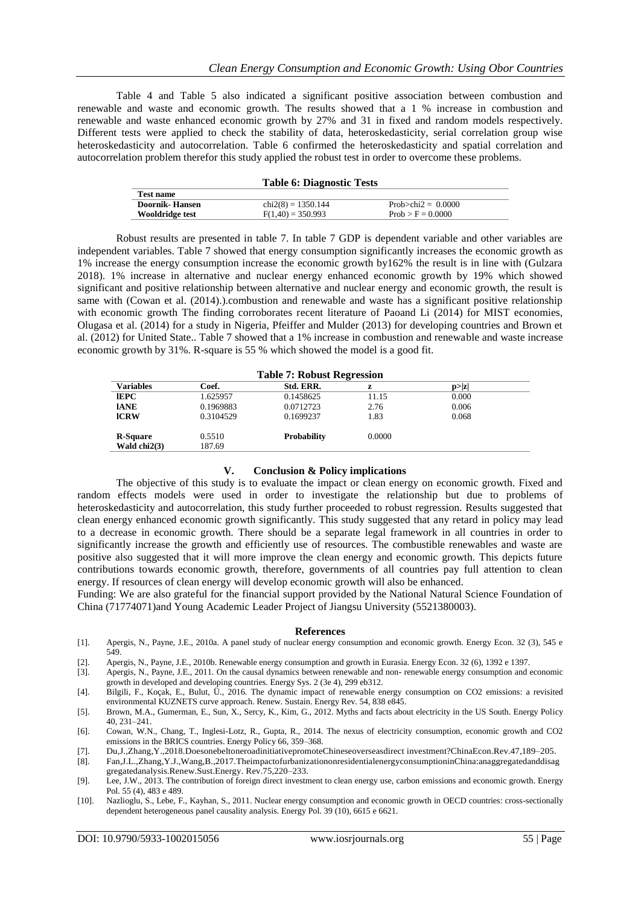Table 4 and Table 5 also indicated a significant positive association between combustion and renewable and waste and economic growth. The results showed that a 1 % increase in combustion and renewable and waste enhanced economic growth by 27% and 31 in fixed and random models respectively. Different tests were applied to check the stability of data, heteroskedasticity, serial correlation group wise heteroskedasticity and autocorrelation. Table 6 confirmed the heteroskedasticity and spatial correlation and autocorrelation problem therefor this study applied the robust test in order to overcome these problems.

| Test name             |                      |                          |  |
|-----------------------|----------------------|--------------------------|--|
| <b>Doornik-Hansen</b> | $chi2(8) = 1350.144$ | Prob $\ge$ chi2 = 0.0000 |  |
| Wooldridge test       | $F(1,40) = 350.993$  | $Prob > F = 0.0000$      |  |
|                       |                      |                          |  |

Robust results are presented in table 7. In table 7 GDP is dependent variable and other variables are independent variables. Table 7 showed that energy consumption significantly increases the economic growth as 1% increase the energy consumption increase the economic growth by162% the result is in line with (Gulzara 2018). 1% increase in alternative and nuclear energy enhanced economic growth by 19% which showed significant and positive relationship between alternative and nuclear energy and economic growth, the result is same with (Cowan et al. (2014).).combustion and renewable and waste has a significant positive relationship with economic growth The finding corroborates recent literature of Paoand Li (2014) for MIST economies, Olugasa et al. (2014) for a study in Nigeria, Pfeiffer and Mulder (2013) for developing countries and Brown et al. (2012) for United State.. Table 7 showed that a 1% increase in combustion and renewable and waste increase economic growth by 31%. R-square is 55 % which showed the model is a good fit.

| <b>Table 7: Robust Regression</b> |           |                    |        |        |  |
|-----------------------------------|-----------|--------------------|--------|--------|--|
| <b>Variables</b>                  | Coef.     | Std. ERR.          | z      | p >  z |  |
| <b>IEPC</b>                       | 1.625957  | 0.1458625          | 11.15  | 0.000  |  |
| <b>IANE</b>                       | 0.1969883 | 0.0712723          | 2.76   | 0.006  |  |
| <b>ICRW</b>                       | 0.3104529 | 0.1699237          | 1.83   | 0.068  |  |
| <b>R-Square</b>                   | 0.5510    | <b>Probability</b> | 0.0000 |        |  |
| Wald $chi2(3)$                    | 187.69    |                    |        |        |  |

#### **V. Conclusion & Policy implications**

The objective of this study is to evaluate the impact or clean energy on economic growth. Fixed and random effects models were used in order to investigate the relationship but due to problems of heteroskedasticity and autocorrelation, this study further proceeded to robust regression. Results suggested that clean energy enhanced economic growth significantly. This study suggested that any retard in policy may lead to a decrease in economic growth. There should be a separate legal framework in all countries in order to significantly increase the growth and efficiently use of resources. The combustible renewables and waste are positive also suggested that it will more improve the clean energy and economic growth. This depicts future contributions towards economic growth, therefore, governments of all countries pay full attention to clean energy. If resources of clean energy will develop economic growth will also be enhanced.

Funding: We are also grateful for the financial support provided by the National Natural Science Foundation of China (71774071)and Young Academic Leader Project of Jiangsu University (5521380003).

#### **References**

- [1]. Apergis, N., Payne, J.E., 2010a. A panel study of nuclear energy consumption and economic growth. Energy Econ. 32 (3), 545 e 549.
- [2]. Apergis, N., Payne, J.E., 2010b. Renewable energy consumption and growth in Eurasia. Energy Econ. 32 (6), 1392 e 1397.
- [3]. Apergis, N., Payne, J.E., 2011. On the causal dynamics between renewable and non- renewable energy consumption and economic growth in developed and developing countries. Energy Sys. 2 (3e 4), 299 eb312.
- [4]. Bilgili, F., Koçak, E., Bulut, Ü., 2016. The dynamic impact of renewable energy consumption on CO2 emissions: a revisited environmental KUZNETS curve approach. Renew. Sustain. Energy Rev. 54, 838 e845.
- [5]. Brown, M.A., Gumerman, E., Sun, X., Sercy, K., Kim, G., 2012. Myths and facts about electricity in the US South. Energy Policy 40, 231–241.
- [6]. Cowan, W.N., Chang, T., Inglesi-Lotz, R., Gupta, R., 2014. The nexus of electricity consumption, economic growth and CO2 emissions in the BRICS countries. Energy Policy 66, 359–368.
- [7]. Du,J.,Zhang,Y.,2018[.DoesonebeltoneroadinitiativepromoteChineseoverseasdirect](http://refhub.elsevier.com/S0048-9697(18)32545-2/rf0085) [investment?ChinaEcon.Rev.47,189–205.](http://refhub.elsevier.com/S0048-9697(18)32545-2/rf0085)

- [9]. Lee, J.W., 2013. The contribution of foreign direct investment to clean energy use, carbon emissions and economic growth. Energy Pol. 55 (4), 483 e 489.
- [10]. Nazlioglu, S., Lebe, F., Kayhan, S., 2011. Nuclear energy consumption and economic growth in OECD countries: cross-sectionally dependent heterogeneous panel causality analysis. Energy Pol. 39 (10), 6615 e 6621.

<sup>[8].</sup> Fan,J.L.,Zhang,Y.J.,Wang,B.,201[7.TheimpactofurbanizationonresidentialenergyconsumptioninChina:anaggregatedanddisag](http://refhub.elsevier.com/S0048-9697(18)32545-2/rf0095) gregatedanalysis.Renew.Sust.Energy. [Rev.75,220–233.](http://refhub.elsevier.com/S0048-9697(18)32545-2/rf0095)